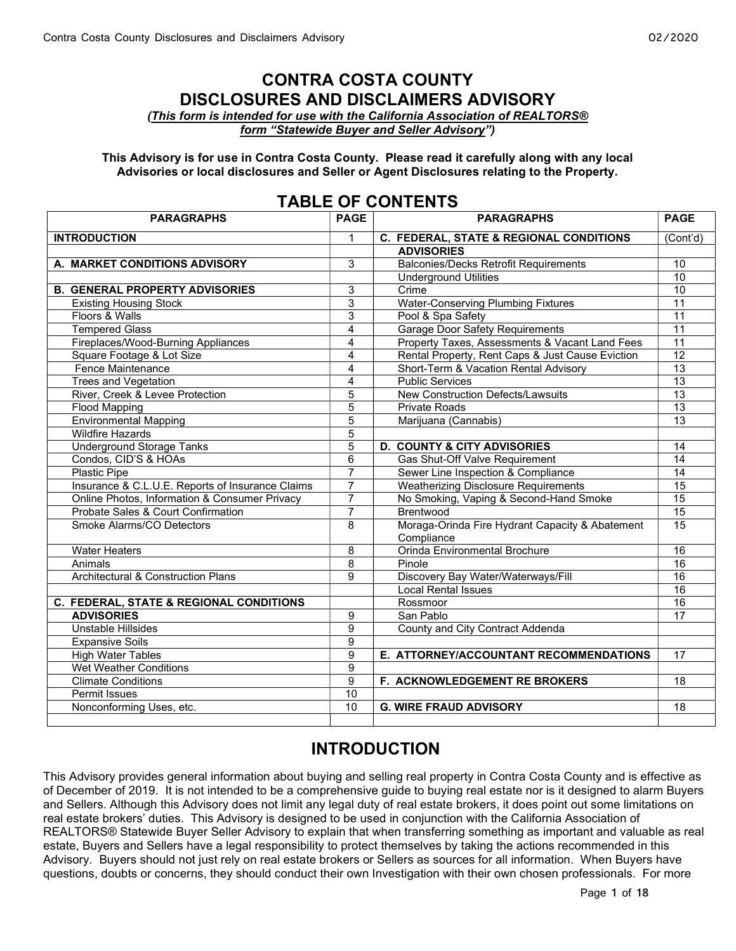### CONTRA COSTA COUNTY DISCLOSURES AND DISCLAIMERS ADVISORY

(This form is intended for use with the California Association of REALTORS® form "Statewide Buyer and Seller Advisory")

This Advisory is for use in Contra Costa County. Please read it carefully along with any local Advisories or local disclosures and Seller or Agent Disclosures relating to the Property.

| IADLL VI GUNTLINIS                               |                |                                                  |                 |
|--------------------------------------------------|----------------|--------------------------------------------------|-----------------|
| <b>PARAGRAPHS</b>                                | <b>PAGE</b>    | <b>PARAGRAPHS</b>                                | <b>PAGE</b>     |
| <b>INTRODUCTION</b>                              | 1              | C. FEDERAL, STATE & REGIONAL CONDITIONS          | (Cont'd)        |
|                                                  |                | <b>ADVISORIES</b>                                |                 |
| A. MARKET CONDITIONS ADVISORY                    | $\overline{3}$ | <b>Balconies/Decks Retrofit Requirements</b>     | 10              |
|                                                  |                | <b>Underground Utilities</b>                     | $\overline{10}$ |
| <b>B. GENERAL PROPERTY ADVISORIES</b>            | 3              | Crime                                            | $\overline{10}$ |
| <b>Existing Housing Stock</b>                    | 3              | <b>Water-Conserving Plumbing Fixtures</b>        | $\overline{11}$ |
| Floors & Walls                                   | $\overline{3}$ | Pool & Spa Safety                                | 11              |
| <b>Tempered Glass</b>                            | $\overline{4}$ | Garage Door Safety Requirements                  | 11              |
| Fireplaces/Wood-Burning Appliances               | $\overline{4}$ | Property Taxes, Assessments & Vacant Land Fees   | 11              |
| Square Footage & Lot Size                        | 4              | Rental Property, Rent Caps & Just Cause Eviction | $\overline{12}$ |
| Fence Maintenance                                | $\overline{4}$ | Short-Term & Vacation Rental Advisory            | $\overline{13}$ |
| <b>Trees and Vegetation</b>                      | 4              | <b>Public Services</b>                           | 13              |
| River, Creek & Levee Protection                  | 5              | <b>New Construction Defects/Lawsuits</b>         | $\overline{13}$ |
| <b>Flood Mapping</b>                             | 5              | <b>Private Roads</b>                             | 13              |
| <b>Environmental Mapping</b>                     | $\overline{5}$ | Marijuana (Cannabis)                             | 13              |
| <b>Wildfire Hazards</b>                          | $\overline{5}$ |                                                  |                 |
| <b>Underground Storage Tanks</b>                 | $\overline{5}$ | <b>D. COUNTY &amp; CITY ADVISORIES</b>           | 14              |
| Condos, CID'S & HOAs                             | 6              | Gas Shut-Off Valve Requirement                   | 14              |
| <b>Plastic Pipe</b>                              | $\overline{7}$ | Sewer Line Inspection & Compliance               | 14              |
| Insurance & C.L.U.E. Reports of Insurance Claims | $\overline{7}$ | <b>Weatherizing Disclosure Requirements</b>      | 15              |
| Online Photos, Information & Consumer Privacy    | 7              | No Smoking, Vaping & Second-Hand Smoke           | 15              |
| Probate Sales & Court Confirmation               | 7              | <b>Brentwood</b>                                 | $\overline{15}$ |
| Smoke Alarms/CO Detectors                        | 8              | Moraga-Orinda Fire Hydrant Capacity & Abatement  | 15              |
|                                                  |                | Compliance                                       |                 |
| <b>Water Heaters</b>                             | 8              | Orinda Environmental Brochure                    | $\overline{16}$ |
| Animals                                          | 8              | Pinole                                           | $\overline{16}$ |
| <b>Architectural &amp; Construction Plans</b>    | 9              | Discovery Bay Water/Waterways/Fill               | 16              |
|                                                  |                | <b>Local Rental Issues</b>                       | $\overline{16}$ |
| C. FEDERAL, STATE & REGIONAL CONDITIONS          |                | Rossmoor                                         | 16              |
| <b>ADVISORIES</b>                                | 9              | San Pablo                                        | $\overline{17}$ |
| Unstable Hillsides                               | 9              | County and City Contract Addenda                 |                 |
| <b>Expansive Soils</b>                           | $\overline{9}$ |                                                  |                 |
| <b>High Water Tables</b>                         | $\overline{9}$ | E. ATTORNEY/ACCOUNTANT RECOMMENDATIONS           | 17              |
| <b>Wet Weather Conditions</b>                    | 9              |                                                  |                 |
| <b>Climate Conditions</b>                        | 9              | F. ACKNOWLEDGEMENT RE BROKERS                    | 18              |
| <b>Permit Issues</b>                             | 10             |                                                  |                 |
| Nonconforming Uses, etc.                         | 10             | <b>G. WIRE FRAUD ADVISORY</b>                    | $\overline{18}$ |
|                                                  |                |                                                  |                 |

### TABLE OF CONTENTS

## INTRODUCTION

This Advisory provides general information about buying and selling real property in Contra Costa County and is effective as of December of 2019. It is not intended to be a comprehensive guide to buying real estate nor is it designed to alarm Buyers and Sellers. Although this Advisory does not limit any legal duty of real estate brokers, it does point out some limitations on real estate brokers' duties. This Advisory is designed to be used in conjunction with the California Association of REALTORS® Statewide Buyer Seller Advisory to explain that when transferring something as important and valuable as real estate, Buyers and Sellers have a legal responsibility to protect themselves by taking the actions recommended in this Advisory. Buyers should not just rely on real estate brokers or Sellers as sources for all information. When Buyers have questions, doubts or concerns, they should conduct their own Investigation with their own chosen professionals. For more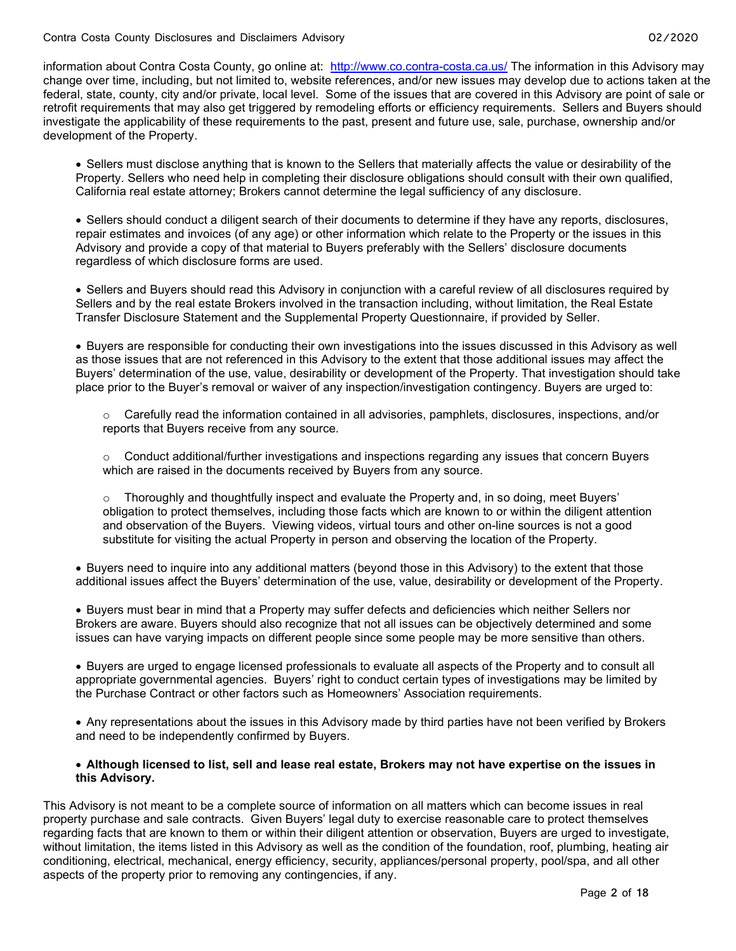information about Contra Costa County, go online at: http://www.co.contra-costa.ca.us/ The information in this Advisory may change over time, including, but not limited to, website references, and/or new issues may develop due to actions taken at the federal, state, county, city and/or private, local level. Some of the issues that are covered in this Advisory are point of sale or retrofit requirements that may also get triggered by remodeling efforts or efficiency requirements. Sellers and Buyers should investigate the applicability of these requirements to the past, present and future use, sale, purchase, ownership and/or development of the Property.

 Sellers must disclose anything that is known to the Sellers that materially affects the value or desirability of the Property. Sellers who need help in completing their disclosure obligations should consult with their own qualified, California real estate attorney; Brokers cannot determine the legal sufficiency of any disclosure.

 Sellers should conduct a diligent search of their documents to determine if they have any reports, disclosures, repair estimates and invoices (of any age) or other information which relate to the Property or the issues in this Advisory and provide a copy of that material to Buyers preferably with the Sellers' disclosure documents regardless of which disclosure forms are used.

 Sellers and Buyers should read this Advisory in conjunction with a careful review of all disclosures required by Sellers and by the real estate Brokers involved in the transaction including, without limitation, the Real Estate Transfer Disclosure Statement and the Supplemental Property Questionnaire, if provided by Seller.

 Buyers are responsible for conducting their own investigations into the issues discussed in this Advisory as well as those issues that are not referenced in this Advisory to the extent that those additional issues may affect the Buyers' determination of the use, value, desirability or development of the Property. That investigation should take place prior to the Buyer's removal or waiver of any inspection/investigation contingency. Buyers are urged to:

 $\circ$  Carefully read the information contained in all advisories, pamphlets, disclosures, inspections, and/or reports that Buyers receive from any source.

 $\circ$  Conduct additional/further investigations and inspections regarding any issues that concern Buyers which are raised in the documents received by Buyers from any source.

 $\circ$  Thoroughly and thoughtfully inspect and evaluate the Property and, in so doing, meet Buyers' obligation to protect themselves, including those facts which are known to or within the diligent attention and observation of the Buyers. Viewing videos, virtual tours and other on-line sources is not a good substitute for visiting the actual Property in person and observing the location of the Property.

 Buyers need to inquire into any additional matters (beyond those in this Advisory) to the extent that those additional issues affect the Buyers' determination of the use, value, desirability or development of the Property.

 Buyers must bear in mind that a Property may suffer defects and deficiencies which neither Sellers nor Brokers are aware. Buyers should also recognize that not all issues can be objectively determined and some issues can have varying impacts on different people since some people may be more sensitive than others.

 Buyers are urged to engage licensed professionals to evaluate all aspects of the Property and to consult all appropriate governmental agencies. Buyers' right to conduct certain types of investigations may be limited by the Purchase Contract or other factors such as Homeowners' Association requirements.

 Any representations about the issues in this Advisory made by third parties have not been verified by Brokers and need to be independently confirmed by Buyers.

#### Although licensed to list, sell and lease real estate, Brokers may not have expertise on the issues in this Advisory.

This Advisory is not meant to be a complete source of information on all matters which can become issues in real property purchase and sale contracts. Given Buyers' legal duty to exercise reasonable care to protect themselves regarding facts that are known to them or within their diligent attention or observation, Buyers are urged to investigate, without limitation, the items listed in this Advisory as well as the condition of the foundation, roof, plumbing, heating air conditioning, electrical, mechanical, energy efficiency, security, appliances/personal property, pool/spa, and all other aspects of the property prior to removing any contingencies, if any.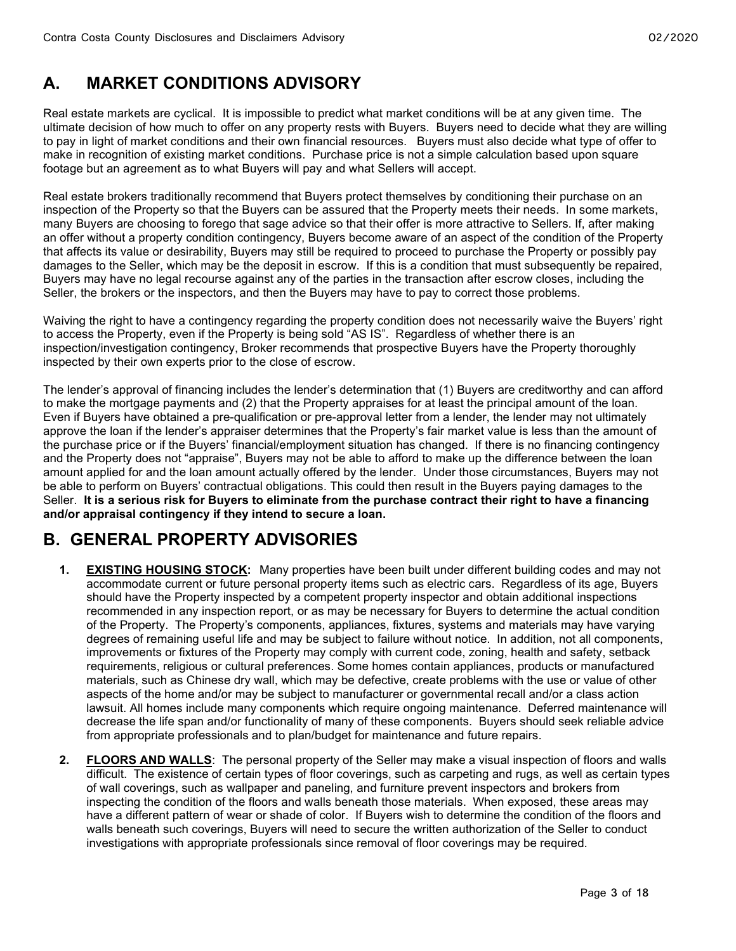# A. MARKET CONDITIONS ADVISORY

Real estate markets are cyclical. It is impossible to predict what market conditions will be at any given time. The ultimate decision of how much to offer on any property rests with Buyers. Buyers need to decide what they are willing to pay in light of market conditions and their own financial resources. Buyers must also decide what type of offer to make in recognition of existing market conditions. Purchase price is not a simple calculation based upon square footage but an agreement as to what Buyers will pay and what Sellers will accept.

Real estate brokers traditionally recommend that Buyers protect themselves by conditioning their purchase on an inspection of the Property so that the Buyers can be assured that the Property meets their needs. In some markets, many Buyers are choosing to forego that sage advice so that their offer is more attractive to Sellers. If, after making an offer without a property condition contingency, Buyers become aware of an aspect of the condition of the Property that affects its value or desirability, Buyers may still be required to proceed to purchase the Property or possibly pay damages to the Seller, which may be the deposit in escrow. If this is a condition that must subsequently be repaired, Buyers may have no legal recourse against any of the parties in the transaction after escrow closes, including the Seller, the brokers or the inspectors, and then the Buyers may have to pay to correct those problems.

Waiving the right to have a contingency regarding the property condition does not necessarily waive the Buyers' right to access the Property, even if the Property is being sold "AS IS". Regardless of whether there is an inspection/investigation contingency, Broker recommends that prospective Buyers have the Property thoroughly inspected by their own experts prior to the close of escrow.

The lender's approval of financing includes the lender's determination that (1) Buyers are creditworthy and can afford to make the mortgage payments and (2) that the Property appraises for at least the principal amount of the loan. Even if Buyers have obtained a pre-qualification or pre-approval letter from a lender, the lender may not ultimately approve the loan if the lender's appraiser determines that the Property's fair market value is less than the amount of the purchase price or if the Buyers' financial/employment situation has changed. If there is no financing contingency and the Property does not "appraise", Buyers may not be able to afford to make up the difference between the loan amount applied for and the loan amount actually offered by the lender. Under those circumstances, Buyers may not be able to perform on Buyers' contractual obligations. This could then result in the Buyers paying damages to the Seller. It is a serious risk for Buyers to eliminate from the purchase contract their right to have a financing and/or appraisal contingency if they intend to secure a loan.

# B. GENERAL PROPERTY ADVISORIES

- 1. EXISTING HOUSING STOCK: Many properties have been built under different building codes and may not accommodate current or future personal property items such as electric cars. Regardless of its age, Buyers should have the Property inspected by a competent property inspector and obtain additional inspections recommended in any inspection report, or as may be necessary for Buyers to determine the actual condition of the Property. The Property's components, appliances, fixtures, systems and materials may have varying degrees of remaining useful life and may be subject to failure without notice. In addition, not all components, improvements or fixtures of the Property may comply with current code, zoning, health and safety, setback requirements, religious or cultural preferences. Some homes contain appliances, products or manufactured materials, such as Chinese dry wall, which may be defective, create problems with the use or value of other aspects of the home and/or may be subject to manufacturer or governmental recall and/or a class action lawsuit. All homes include many components which require ongoing maintenance. Deferred maintenance will decrease the life span and/or functionality of many of these components. Buyers should seek reliable advice from appropriate professionals and to plan/budget for maintenance and future repairs.
- 2. FLOORS AND WALLS: The personal property of the Seller may make a visual inspection of floors and walls difficult. The existence of certain types of floor coverings, such as carpeting and rugs, as well as certain types of wall coverings, such as wallpaper and paneling, and furniture prevent inspectors and brokers from inspecting the condition of the floors and walls beneath those materials. When exposed, these areas may have a different pattern of wear or shade of color. If Buyers wish to determine the condition of the floors and walls beneath such coverings, Buyers will need to secure the written authorization of the Seller to conduct investigations with appropriate professionals since removal of floor coverings may be required.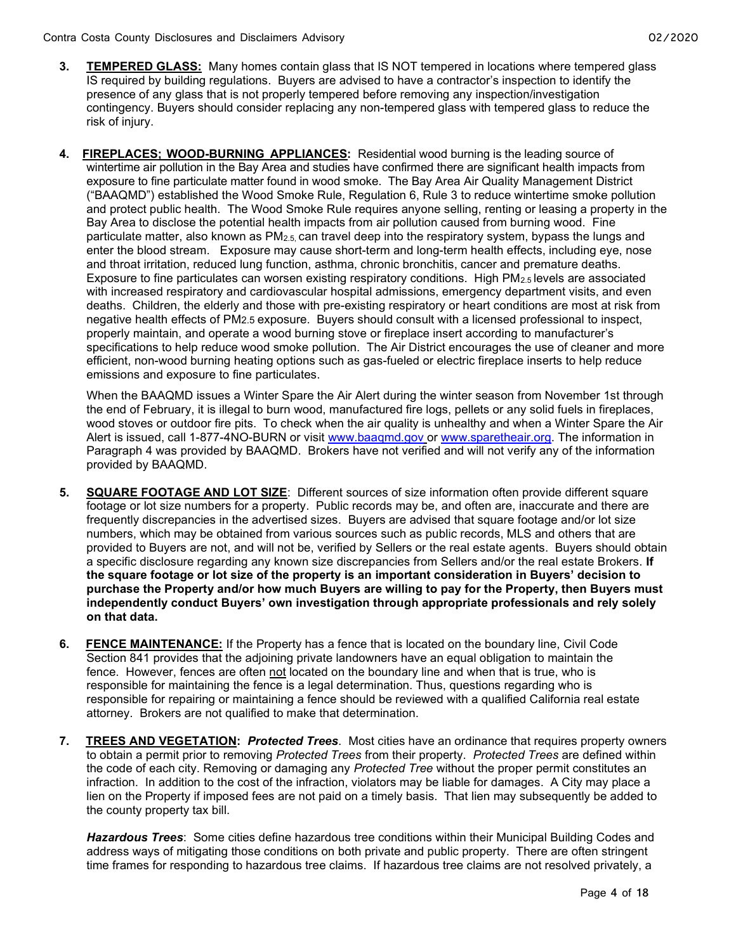- 3. TEMPERED GLASS: Many homes contain glass that IS NOT tempered in locations where tempered glass IS required by building regulations. Buyers are advised to have a contractor's inspection to identify the presence of any glass that is not properly tempered before removing any inspection/investigation contingency. Buyers should consider replacing any non-tempered glass with tempered glass to reduce the risk of injury.
- 4. FIREPLACES; WOOD-BURNING APPLIANCES: Residential wood burning is the leading source of wintertime air pollution in the Bay Area and studies have confirmed there are significant health impacts from exposure to fine particulate matter found in wood smoke. The Bay Area Air Quality Management District ("BAAQMD") established the Wood Smoke Rule, Regulation 6, Rule 3 to reduce wintertime smoke pollution and protect public health. The Wood Smoke Rule requires anyone selling, renting or leasing a property in the Bay Area to disclose the potential health impacts from air pollution caused from burning wood. Fine particulate matter, also known as PM2.5, can travel deep into the respiratory system, bypass the lungs and enter the blood stream. Exposure may cause short-term and long-term health effects, including eye, nose and throat irritation, reduced lung function, asthma, chronic bronchitis, cancer and premature deaths. Exposure to fine particulates can worsen existing respiratory conditions. High PM<sub>2.5</sub> levels are associated with increased respiratory and cardiovascular hospital admissions, emergency department visits, and even deaths. Children, the elderly and those with pre-existing respiratory or heart conditions are most at risk from negative health effects of PM2.5 exposure. Buyers should consult with a licensed professional to inspect, properly maintain, and operate a wood burning stove or fireplace insert according to manufacturer's specifications to help reduce wood smoke pollution. The Air District encourages the use of cleaner and more efficient, non-wood burning heating options such as gas-fueled or electric fireplace inserts to help reduce emissions and exposure to fine particulates.

When the BAAQMD issues a Winter Spare the Air Alert during the winter season from November 1st through the end of February, it is illegal to burn wood, manufactured fire logs, pellets or any solid fuels in fireplaces, wood stoves or outdoor fire pits. To check when the air quality is unhealthy and when a Winter Spare the Air Alert is issued, call 1-877-4NO-BURN or visit www.baaqmd.gov or www.sparetheair.org. The information in Paragraph 4 was provided by BAAQMD. Brokers have not verified and will not verify any of the information provided by BAAQMD.

- 5. SQUARE FOOTAGE AND LOT SIZE: Different sources of size information often provide different square footage or lot size numbers for a property. Public records may be, and often are, inaccurate and there are frequently discrepancies in the advertised sizes. Buyers are advised that square footage and/or lot size numbers, which may be obtained from various sources such as public records, MLS and others that are provided to Buyers are not, and will not be, verified by Sellers or the real estate agents. Buyers should obtain a specific disclosure regarding any known size discrepancies from Sellers and/or the real estate Brokers. If the square footage or lot size of the property is an important consideration in Buyers' decision to purchase the Property and/or how much Buyers are willing to pay for the Property, then Buyers must independently conduct Buyers' own investigation through appropriate professionals and rely solely on that data.
- 6. FENCE MAINTENANCE: If the Property has a fence that is located on the boundary line, Civil Code Section 841 provides that the adjoining private landowners have an equal obligation to maintain the fence. However, fences are often not located on the boundary line and when that is true, who is responsible for maintaining the fence is a legal determination. Thus, questions regarding who is responsible for repairing or maintaining a fence should be reviewed with a qualified California real estate attorney. Brokers are not qualified to make that determination.
- 7. TREES AND VEGETATION: Protected Trees. Most cities have an ordinance that requires property owners to obtain a permit prior to removing Protected Trees from their property. Protected Trees are defined within the code of each city. Removing or damaging any Protected Tree without the proper permit constitutes an infraction. In addition to the cost of the infraction, violators may be liable for damages. A City may place a lien on the Property if imposed fees are not paid on a timely basis. That lien may subsequently be added to the county property tax bill.

Hazardous Trees: Some cities define hazardous tree conditions within their Municipal Building Codes and address ways of mitigating those conditions on both private and public property. There are often stringent time frames for responding to hazardous tree claims. If hazardous tree claims are not resolved privately, a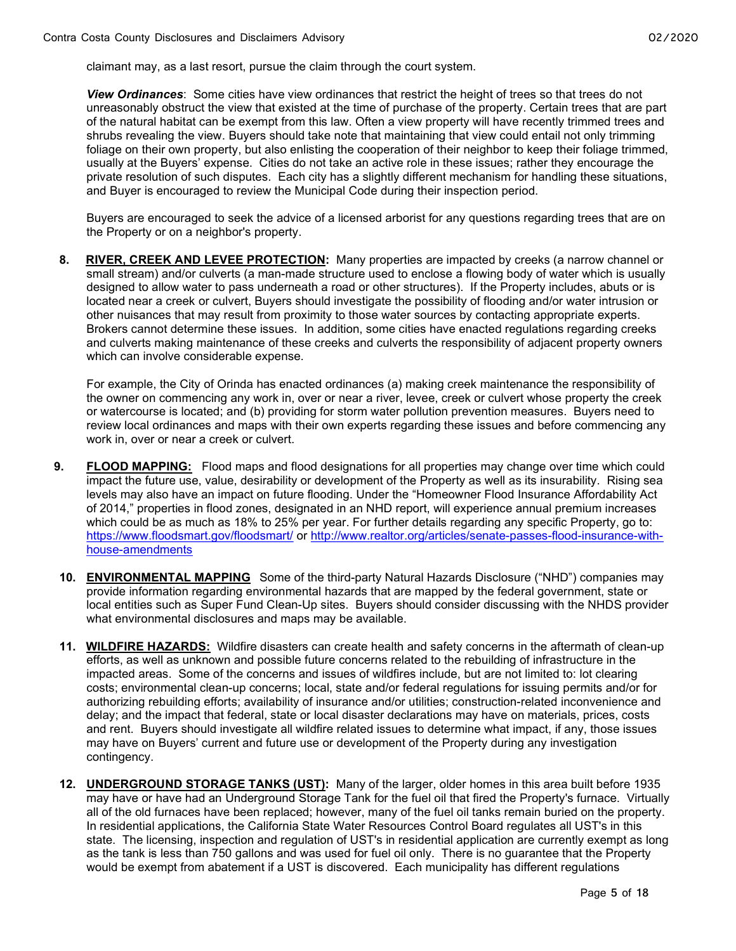claimant may, as a last resort, pursue the claim through the court system.

View Ordinances: Some cities have view ordinances that restrict the height of trees so that trees do not unreasonably obstruct the view that existed at the time of purchase of the property. Certain trees that are part of the natural habitat can be exempt from this law. Often a view property will have recently trimmed trees and shrubs revealing the view. Buyers should take note that maintaining that view could entail not only trimming foliage on their own property, but also enlisting the cooperation of their neighbor to keep their foliage trimmed. usually at the Buyers' expense. Cities do not take an active role in these issues; rather they encourage the private resolution of such disputes. Each city has a slightly different mechanism for handling these situations, and Buyer is encouraged to review the Municipal Code during their inspection period.

Buyers are encouraged to seek the advice of a licensed arborist for any questions regarding trees that are on the Property or on a neighbor's property.

8. RIVER, CREEK AND LEVEE PROTECTION: Many properties are impacted by creeks (a narrow channel or small stream) and/or culverts (a man-made structure used to enclose a flowing body of water which is usually designed to allow water to pass underneath a road or other structures). If the Property includes, abuts or is located near a creek or culvert, Buyers should investigate the possibility of flooding and/or water intrusion or other nuisances that may result from proximity to those water sources by contacting appropriate experts. Brokers cannot determine these issues. In addition, some cities have enacted regulations regarding creeks and culverts making maintenance of these creeks and culverts the responsibility of adjacent property owners which can involve considerable expense.

For example, the City of Orinda has enacted ordinances (a) making creek maintenance the responsibility of the owner on commencing any work in, over or near a river, levee, creek or culvert whose property the creek or watercourse is located; and (b) providing for storm water pollution prevention measures. Buyers need to review local ordinances and maps with their own experts regarding these issues and before commencing any work in, over or near a creek or culvert.

- 9. FLOOD MAPPING: Flood maps and flood designations for all properties may change over time which could impact the future use, value, desirability or development of the Property as well as its insurability. Rising sea levels may also have an impact on future flooding. Under the "Homeowner Flood Insurance Affordability Act of 2014," properties in flood zones, designated in an NHD report, will experience annual premium increases which could be as much as 18% to 25% per year. For further details regarding any specific Property, go to: https://www.floodsmart.gov/floodsmart/ or http://www.realtor.org/articles/senate-passes-flood-insurance-withhouse-amendments
- 10. ENVIRONMENTAL MAPPING Some of the third-party Natural Hazards Disclosure ("NHD") companies may provide information regarding environmental hazards that are mapped by the federal government, state or local entities such as Super Fund Clean-Up sites. Buyers should consider discussing with the NHDS provider what environmental disclosures and maps may be available.
- 11. WILDFIRE HAZARDS: Wildfire disasters can create health and safety concerns in the aftermath of clean-up efforts, as well as unknown and possible future concerns related to the rebuilding of infrastructure in the impacted areas. Some of the concerns and issues of wildfires include, but are not limited to: lot clearing costs; environmental clean-up concerns; local, state and/or federal regulations for issuing permits and/or for authorizing rebuilding efforts; availability of insurance and/or utilities; construction-related inconvenience and delay; and the impact that federal, state or local disaster declarations may have on materials, prices, costs and rent. Buyers should investigate all wildfire related issues to determine what impact, if any, those issues may have on Buyers' current and future use or development of the Property during any investigation contingency.
- 12. **UNDERGROUND STORAGE TANKS (UST):** Many of the larger, older homes in this area built before 1935 may have or have had an Underground Storage Tank for the fuel oil that fired the Property's furnace. Virtually all of the old furnaces have been replaced; however, many of the fuel oil tanks remain buried on the property. In residential applications, the California State Water Resources Control Board regulates all UST's in this state. The licensing, inspection and regulation of UST's in residential application are currently exempt as long as the tank is less than 750 gallons and was used for fuel oil only. There is no guarantee that the Property would be exempt from abatement if a UST is discovered. Each municipality has different regulations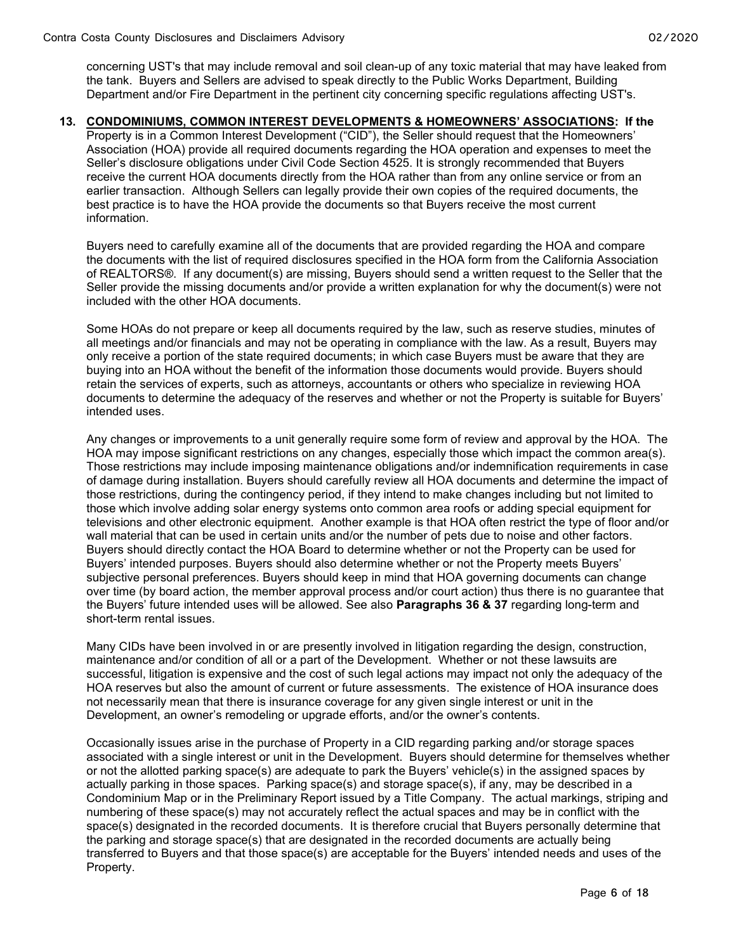concerning UST's that may include removal and soil clean-up of any toxic material that may have leaked from the tank. Buyers and Sellers are advised to speak directly to the Public Works Department, Building Department and/or Fire Department in the pertinent city concerning specific regulations affecting UST's.

#### 13. CONDOMINIUMS, COMMON INTEREST DEVELOPMENTS & HOMEOWNERS' ASSOCIATIONS: If the

Property is in a Common Interest Development ("CID"), the Seller should request that the Homeowners' Association (HOA) provide all required documents regarding the HOA operation and expenses to meet the Seller's disclosure obligations under Civil Code Section 4525. It is strongly recommended that Buyers receive the current HOA documents directly from the HOA rather than from any online service or from an earlier transaction. Although Sellers can legally provide their own copies of the required documents, the best practice is to have the HOA provide the documents so that Buyers receive the most current information.

Buyers need to carefully examine all of the documents that are provided regarding the HOA and compare the documents with the list of required disclosures specified in the HOA form from the California Association of REALTORS®. If any document(s) are missing, Buyers should send a written request to the Seller that the Seller provide the missing documents and/or provide a written explanation for why the document(s) were not included with the other HOA documents.

Some HOAs do not prepare or keep all documents required by the law, such as reserve studies, minutes of all meetings and/or financials and may not be operating in compliance with the law. As a result, Buyers may only receive a portion of the state required documents; in which case Buyers must be aware that they are buying into an HOA without the benefit of the information those documents would provide. Buyers should retain the services of experts, such as attorneys, accountants or others who specialize in reviewing HOA documents to determine the adequacy of the reserves and whether or not the Property is suitable for Buyers' intended uses.

Any changes or improvements to a unit generally require some form of review and approval by the HOA. The HOA may impose significant restrictions on any changes, especially those which impact the common area(s). Those restrictions may include imposing maintenance obligations and/or indemnification requirements in case of damage during installation. Buyers should carefully review all HOA documents and determine the impact of those restrictions, during the contingency period, if they intend to make changes including but not limited to those which involve adding solar energy systems onto common area roofs or adding special equipment for televisions and other electronic equipment. Another example is that HOA often restrict the type of floor and/or wall material that can be used in certain units and/or the number of pets due to noise and other factors. Buyers should directly contact the HOA Board to determine whether or not the Property can be used for Buyers' intended purposes. Buyers should also determine whether or not the Property meets Buyers' subjective personal preferences. Buyers should keep in mind that HOA governing documents can change over time (by board action, the member approval process and/or court action) thus there is no guarantee that the Buyers' future intended uses will be allowed. See also **Paragraphs 36 & 37** regarding long-term and short-term rental issues.

Many CIDs have been involved in or are presently involved in litigation regarding the design, construction, maintenance and/or condition of all or a part of the Development. Whether or not these lawsuits are successful, litigation is expensive and the cost of such legal actions may impact not only the adequacy of the HOA reserves but also the amount of current or future assessments. The existence of HOA insurance does not necessarily mean that there is insurance coverage for any given single interest or unit in the Development, an owner's remodeling or upgrade efforts, and/or the owner's contents.

Occasionally issues arise in the purchase of Property in a CID regarding parking and/or storage spaces associated with a single interest or unit in the Development. Buyers should determine for themselves whether or not the allotted parking space(s) are adequate to park the Buyers' vehicle(s) in the assigned spaces by actually parking in those spaces. Parking space(s) and storage space(s), if any, may be described in a Condominium Map or in the Preliminary Report issued by a Title Company. The actual markings, striping and numbering of these space(s) may not accurately reflect the actual spaces and may be in conflict with the space(s) designated in the recorded documents. It is therefore crucial that Buyers personally determine that the parking and storage space(s) that are designated in the recorded documents are actually being transferred to Buyers and that those space(s) are acceptable for the Buyers' intended needs and uses of the Property.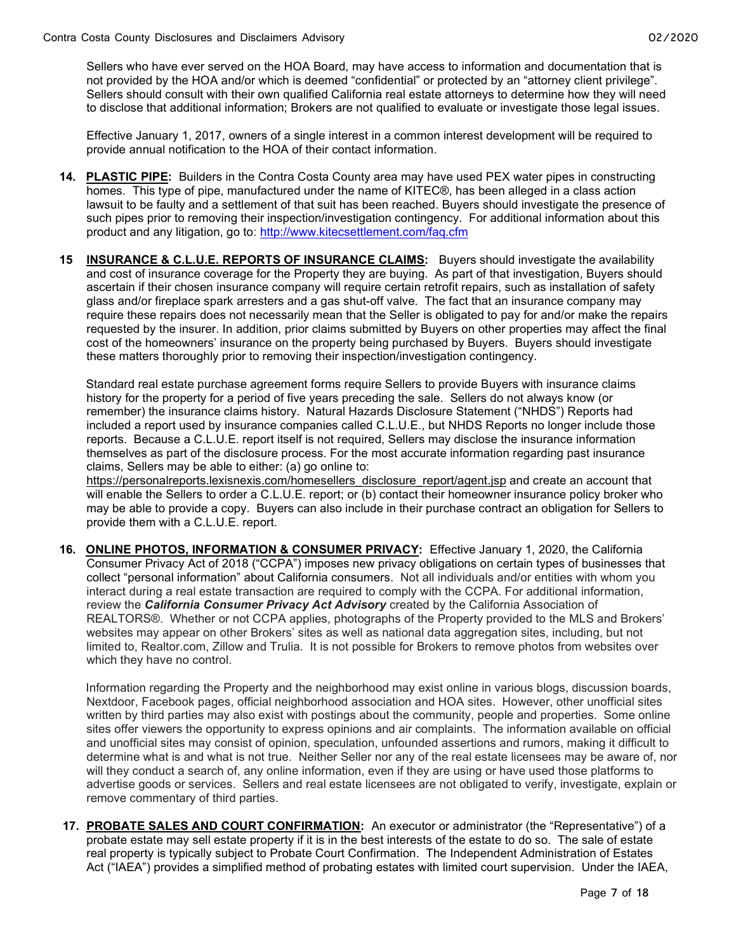Sellers who have ever served on the HOA Board, may have access to information and documentation that is not provided by the HOA and/or which is deemed "confidential" or protected by an "attorney client privilege". Sellers should consult with their own qualified California real estate attorneys to determine how they will need to disclose that additional information; Brokers are not qualified to evaluate or investigate those legal issues.

Effective January 1, 2017, owners of a single interest in a common interest development will be required to provide annual notification to the HOA of their contact information.

- 14. PLASTIC PIPE: Builders in the Contra Costa County area may have used PEX water pipes in constructing homes. This type of pipe, manufactured under the name of KITEC®, has been alleged in a class action lawsuit to be faulty and a settlement of that suit has been reached. Buyers should investigate the presence of such pipes prior to removing their inspection/investigation contingency. For additional information about this product and any litigation, go to: http://www.kitecsettlement.com/faq.cfm
- 15 **INSURANCE & C.L.U.E. REPORTS OF INSURANCE CLAIMS:** Buyers should investigate the availability and cost of insurance coverage for the Property they are buying. As part of that investigation, Buyers should ascertain if their chosen insurance company will require certain retrofit repairs, such as installation of safety glass and/or fireplace spark arresters and a gas shut-off valve. The fact that an insurance company may require these repairs does not necessarily mean that the Seller is obligated to pay for and/or make the repairs requested by the insurer. In addition, prior claims submitted by Buyers on other properties may affect the final cost of the homeowners' insurance on the property being purchased by Buyers. Buyers should investigate these matters thoroughly prior to removing their inspection/investigation contingency.

 Standard real estate purchase agreement forms require Sellers to provide Buyers with insurance claims history for the property for a period of five years preceding the sale. Sellers do not always know (or remember) the insurance claims history. Natural Hazards Disclosure Statement ("NHDS") Reports had included a report used by insurance companies called C.L.U.E., but NHDS Reports no longer include those reports. Because a C.L.U.E. report itself is not required, Sellers may disclose the insurance information themselves as part of the disclosure process. For the most accurate information regarding past insurance claims, Sellers may be able to either: (a) go online to:

https://personalreports.lexisnexis.com/homesellers\_disclosure\_report/agent.jsp and create an account that will enable the Sellers to order a C.L.U.E. report; or (b) contact their homeowner insurance policy broker who may be able to provide a copy. Buyers can also include in their purchase contract an obligation for Sellers to provide them with a C.L.U.E. report.

16. ONLINE PHOTOS, INFORMATION & CONSUMER PRIVACY: Effective January 1, 2020, the California Consumer Privacy Act of 2018 ("CCPA") imposes new privacy obligations on certain types of businesses that collect "personal information" about California consumers. Not all individuals and/or entities with whom you interact during a real estate transaction are required to comply with the CCPA. For additional information, review the California Consumer Privacy Act Advisory created by the California Association of REALTORS®. Whether or not CCPA applies, photographs of the Property provided to the MLS and Brokers' websites may appear on other Brokers' sites as well as national data aggregation sites, including, but not limited to, Realtor.com, Zillow and Trulia. It is not possible for Brokers to remove photos from websites over which they have no control.

 Information regarding the Property and the neighborhood may exist online in various blogs, discussion boards, Nextdoor, Facebook pages, official neighborhood association and HOA sites. However, other unofficial sites written by third parties may also exist with postings about the community, people and properties. Some online sites offer viewers the opportunity to express opinions and air complaints. The information available on official and unofficial sites may consist of opinion, speculation, unfounded assertions and rumors, making it difficult to determine what is and what is not true. Neither Seller nor any of the real estate licensees may be aware of, nor will they conduct a search of, any online information, even if they are using or have used those platforms to advertise goods or services. Sellers and real estate licensees are not obligated to verify, investigate, explain or remove commentary of third parties.

17. PROBATE SALES AND COURT CONFIRMATION: An executor or administrator (the "Representative") of a probate estate may sell estate property if it is in the best interests of the estate to do so. The sale of estate real property is typically subject to Probate Court Confirmation. The Independent Administration of Estates Act ("IAEA") provides a simplified method of probating estates with limited court supervision. Under the IAEA,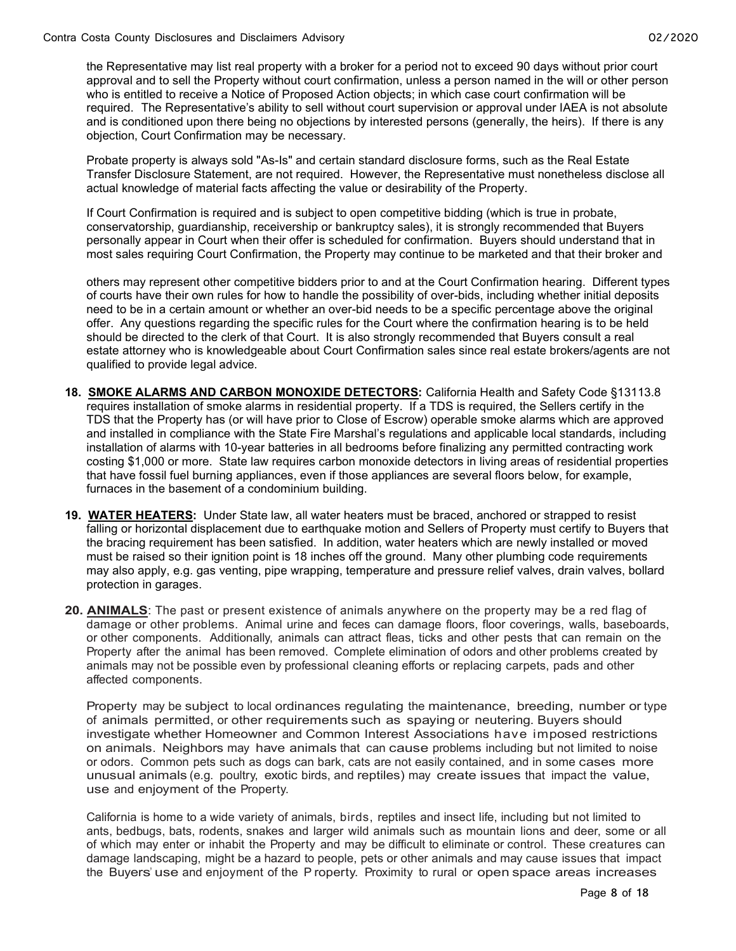the Representative may list real property with a broker for a period not to exceed 90 days without prior court approval and to sell the Property without court confirmation, unless a person named in the will or other person who is entitled to receive a Notice of Proposed Action objects; in which case court confirmation will be required. The Representative's ability to sell without court supervision or approval under IAEA is not absolute and is conditioned upon there being no objections by interested persons (generally, the heirs). If there is any objection, Court Confirmation may be necessary.

Probate property is always sold "As-Is" and certain standard disclosure forms, such as the Real Estate Transfer Disclosure Statement, are not required. However, the Representative must nonetheless disclose all actual knowledge of material facts affecting the value or desirability of the Property.

If Court Confirmation is required and is subject to open competitive bidding (which is true in probate, conservatorship, guardianship, receivership or bankruptcy sales), it is strongly recommended that Buyers personally appear in Court when their offer is scheduled for confirmation. Buyers should understand that in most sales requiring Court Confirmation, the Property may continue to be marketed and that their broker and

others may represent other competitive bidders prior to and at the Court Confirmation hearing. Different types of courts have their own rules for how to handle the possibility of over-bids, including whether initial deposits need to be in a certain amount or whether an over-bid needs to be a specific percentage above the original offer. Any questions regarding the specific rules for the Court where the confirmation hearing is to be held should be directed to the clerk of that Court. It is also strongly recommended that Buyers consult a real estate attorney who is knowledgeable about Court Confirmation sales since real estate brokers/agents are not qualified to provide legal advice.

- 18. SMOKE ALARMS AND CARBON MONOXIDE DETECTORS: California Health and Safety Code §13113.8 requires installation of smoke alarms in residential property. If a TDS is required, the Sellers certify in the TDS that the Property has (or will have prior to Close of Escrow) operable smoke alarms which are approved and installed in compliance with the State Fire Marshal's regulations and applicable local standards, including installation of alarms with 10-year batteries in all bedrooms before finalizing any permitted contracting work costing \$1,000 or more. State law requires carbon monoxide detectors in living areas of residential properties that have fossil fuel burning appliances, even if those appliances are several floors below, for example, furnaces in the basement of a condominium building.
- 19. WATER HEATERS: Under State law, all water heaters must be braced, anchored or strapped to resist falling or horizontal displacement due to earthquake motion and Sellers of Property must certify to Buyers that the bracing requirement has been satisfied. In addition, water heaters which are newly installed or moved must be raised so their ignition point is 18 inches off the ground. Many other plumbing code requirements may also apply, e.g. gas venting, pipe wrapping, temperature and pressure relief valves, drain valves, bollard protection in garages.
- 20. ANIMALS: The past or present existence of animals anywhere on the property may be a red flag of damage or other problems. Animal urine and feces can damage floors, floor coverings, walls, baseboards, or other components. Additionally, animals can attract fleas, ticks and other pests that can remain on the Property after the animal has been removed. Complete elimination of odors and other problems created by animals may not be possible even by professional cleaning efforts or replacing carpets, pads and other affected components.

Property may be subject to local ordinances regulating the maintenance, breeding, number or type of animals permitted, or other requirements such as spaying or neutering. Buyers should investigate whether Homeowner and Common Interest Associations have imposed restrictions on animals. Neighbors may have animals that can cause problems including but not limited to noise or odors. Common pets such as dogs can bark, cats are not easily contained, and in some cases more unusual animals (e.g. poultry, exotic birds, and reptiles) may create issues that impact the value, use and enjoyment of the Property.

California is home to a wide variety of animals, birds, reptiles and insect life, including but not limited to ants, bedbugs, bats, rodents, snakes and larger wild animals such as mountain lions and deer, some or all of which may enter or inhabit the Property and may be difficult to eliminate or control. These creatures can damage landscaping, might be a hazard to people, pets or other animals and may cause issues that impact the Buyers' use and enjoyment of the P roperty. Proximity to rural or open space areas increases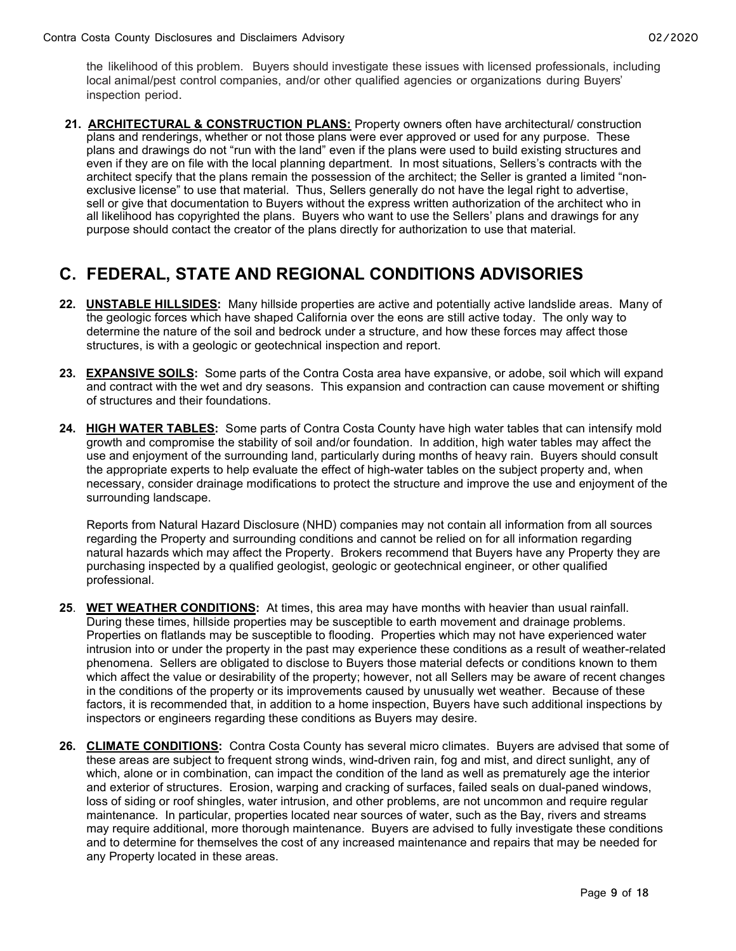the likelihood of this problem. Buyers should investigate these issues with licensed professionals, including local animal/pest control companies, and/or other qualified agencies or organizations during Buyers' inspection period.

21. ARCHITECTURAL & CONSTRUCTION PLANS: Property owners often have architectural/ construction plans and renderings, whether or not those plans were ever approved or used for any purpose. These plans and drawings do not "run with the land" even if the plans were used to build existing structures and even if they are on file with the local planning department. In most situations, Sellers's contracts with the architect specify that the plans remain the possession of the architect; the Seller is granted a limited "nonexclusive license" to use that material. Thus, Sellers generally do not have the legal right to advertise, sell or give that documentation to Buyers without the express written authorization of the architect who in all likelihood has copyrighted the plans. Buyers who want to use the Sellers' plans and drawings for any purpose should contact the creator of the plans directly for authorization to use that material.

### C. FEDERAL, STATE AND REGIONAL CONDITIONS ADVISORIES

- 22. UNSTABLE HILLSIDES: Many hillside properties are active and potentially active landslide areas. Many of the geologic forces which have shaped California over the eons are still active today. The only way to determine the nature of the soil and bedrock under a structure, and how these forces may affect those structures, is with a geologic or geotechnical inspection and report.
- 23. EXPANSIVE SOILS: Some parts of the Contra Costa area have expansive, or adobe, soil which will expand and contract with the wet and dry seasons. This expansion and contraction can cause movement or shifting of structures and their foundations.
- 24. HIGH WATER TABLES: Some parts of Contra Costa County have high water tables that can intensify mold growth and compromise the stability of soil and/or foundation. In addition, high water tables may affect the use and enjoyment of the surrounding land, particularly during months of heavy rain. Buyers should consult the appropriate experts to help evaluate the effect of high-water tables on the subject property and, when necessary, consider drainage modifications to protect the structure and improve the use and enjoyment of the surrounding landscape.

Reports from Natural Hazard Disclosure (NHD) companies may not contain all information from all sources regarding the Property and surrounding conditions and cannot be relied on for all information regarding natural hazards which may affect the Property. Brokers recommend that Buyers have any Property they are purchasing inspected by a qualified geologist, geologic or geotechnical engineer, or other qualified professional.

- 25. WET WEATHER CONDITIONS: At times, this area may have months with heavier than usual rainfall. During these times, hillside properties may be susceptible to earth movement and drainage problems. Properties on flatlands may be susceptible to flooding. Properties which may not have experienced water intrusion into or under the property in the past may experience these conditions as a result of weather-related phenomena. Sellers are obligated to disclose to Buyers those material defects or conditions known to them which affect the value or desirability of the property; however, not all Sellers may be aware of recent changes in the conditions of the property or its improvements caused by unusually wet weather. Because of these factors, it is recommended that, in addition to a home inspection, Buyers have such additional inspections by inspectors or engineers regarding these conditions as Buyers may desire.
- 26. CLIMATE CONDITIONS: Contra Costa County has several micro climates. Buyers are advised that some of these areas are subject to frequent strong winds, wind-driven rain, fog and mist, and direct sunlight, any of which, alone or in combination, can impact the condition of the land as well as prematurely age the interior and exterior of structures. Erosion, warping and cracking of surfaces, failed seals on dual-paned windows, loss of siding or roof shingles, water intrusion, and other problems, are not uncommon and require regular maintenance. In particular, properties located near sources of water, such as the Bay, rivers and streams may require additional, more thorough maintenance. Buyers are advised to fully investigate these conditions and to determine for themselves the cost of any increased maintenance and repairs that may be needed for any Property located in these areas.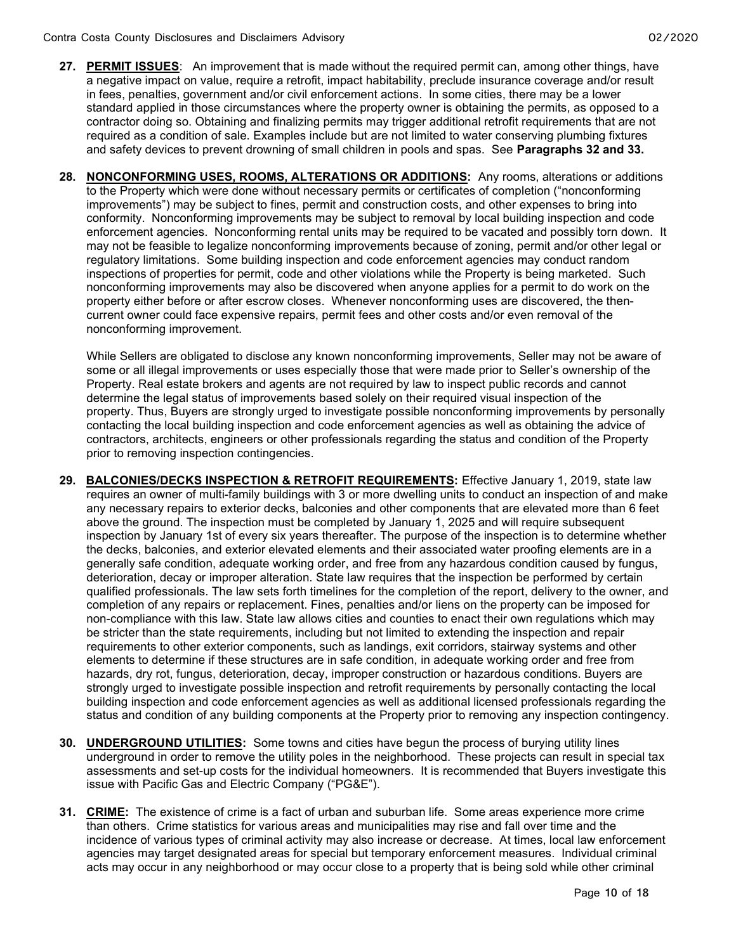- 27. PERMIT ISSUES: An improvement that is made without the required permit can, among other things, have a negative impact on value, require a retrofit, impact habitability, preclude insurance coverage and/or result in fees, penalties, government and/or civil enforcement actions. In some cities, there may be a lower standard applied in those circumstances where the property owner is obtaining the permits, as opposed to a contractor doing so. Obtaining and finalizing permits may trigger additional retrofit requirements that are not required as a condition of sale. Examples include but are not limited to water conserving plumbing fixtures and safety devices to prevent drowning of small children in pools and spas. See **Paragraphs 32 and 33.**
- 28. NONCONFORMING USES, ROOMS, ALTERATIONS OR ADDITIONS: Any rooms, alterations or additions to the Property which were done without necessary permits or certificates of completion ("nonconforming improvements") may be subject to fines, permit and construction costs, and other expenses to bring into conformity. Nonconforming improvements may be subject to removal by local building inspection and code enforcement agencies. Nonconforming rental units may be required to be vacated and possibly torn down. It may not be feasible to legalize nonconforming improvements because of zoning, permit and/or other legal or regulatory limitations. Some building inspection and code enforcement agencies may conduct random inspections of properties for permit, code and other violations while the Property is being marketed. Such nonconforming improvements may also be discovered when anyone applies for a permit to do work on the property either before or after escrow closes. Whenever nonconforming uses are discovered, the thencurrent owner could face expensive repairs, permit fees and other costs and/or even removal of the nonconforming improvement.

While Sellers are obligated to disclose any known nonconforming improvements, Seller may not be aware of some or all illegal improvements or uses especially those that were made prior to Seller's ownership of the Property. Real estate brokers and agents are not required by law to inspect public records and cannot determine the legal status of improvements based solely on their required visual inspection of the property. Thus, Buyers are strongly urged to investigate possible nonconforming improvements by personally contacting the local building inspection and code enforcement agencies as well as obtaining the advice of contractors, architects, engineers or other professionals regarding the status and condition of the Property prior to removing inspection contingencies.

- 29. BALCONIES/DECKS INSPECTION & RETROFIT REQUIREMENTS: Effective January 1, 2019, state law requires an owner of multi-family buildings with 3 or more dwelling units to conduct an inspection of and make any necessary repairs to exterior decks, balconies and other components that are elevated more than 6 feet above the ground. The inspection must be completed by January 1, 2025 and will require subsequent inspection by January 1st of every six years thereafter. The purpose of the inspection is to determine whether the decks, balconies, and exterior elevated elements and their associated water proofing elements are in a generally safe condition, adequate working order, and free from any hazardous condition caused by fungus, deterioration, decay or improper alteration. State law requires that the inspection be performed by certain qualified professionals. The law sets forth timelines for the completion of the report, delivery to the owner, and completion of any repairs or replacement. Fines, penalties and/or liens on the property can be imposed for non-compliance with this law. State law allows cities and counties to enact their own regulations which may be stricter than the state requirements, including but not limited to extending the inspection and repair requirements to other exterior components, such as landings, exit corridors, stairway systems and other elements to determine if these structures are in safe condition, in adequate working order and free from hazards, dry rot, fungus, deterioration, decay, improper construction or hazardous conditions. Buyers are strongly urged to investigate possible inspection and retrofit requirements by personally contacting the local building inspection and code enforcement agencies as well as additional licensed professionals regarding the status and condition of any building components at the Property prior to removing any inspection contingency.
- 30. UNDERGROUND UTILITIES: Some towns and cities have begun the process of burying utility lines underground in order to remove the utility poles in the neighborhood. These projects can result in special tax assessments and set-up costs for the individual homeowners. It is recommended that Buyers investigate this issue with Pacific Gas and Electric Company ("PG&E").
- 31. CRIME: The existence of crime is a fact of urban and suburban life. Some areas experience more crime than others. Crime statistics for various areas and municipalities may rise and fall over time and the incidence of various types of criminal activity may also increase or decrease. At times, local law enforcement agencies may target designated areas for special but temporary enforcement measures. Individual criminal acts may occur in any neighborhood or may occur close to a property that is being sold while other criminal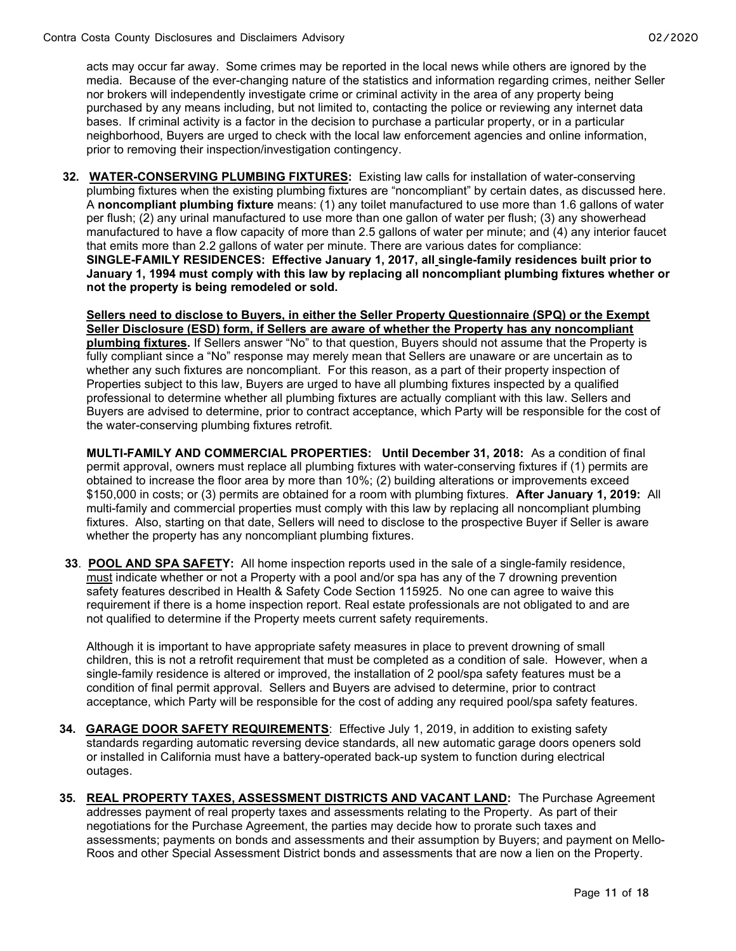acts may occur far away. Some crimes may be reported in the local news while others are ignored by the media. Because of the ever-changing nature of the statistics and information regarding crimes, neither Seller nor brokers will independently investigate crime or criminal activity in the area of any property being purchased by any means including, but not limited to, contacting the police or reviewing any internet data bases. If criminal activity is a factor in the decision to purchase a particular property, or in a particular neighborhood, Buyers are urged to check with the local law enforcement agencies and online information, prior to removing their inspection/investigation contingency.

32. WATER-CONSERVING PLUMBING FIXTURES: Existing law calls for installation of water-conserving plumbing fixtures when the existing plumbing fixtures are "noncompliant" by certain dates, as discussed here. A noncompliant plumbing fixture means: (1) any toilet manufactured to use more than 1.6 gallons of water per flush; (2) any urinal manufactured to use more than one gallon of water per flush; (3) any showerhead manufactured to have a flow capacity of more than 2.5 gallons of water per minute; and (4) any interior faucet that emits more than 2.2 gallons of water per minute. There are various dates for compliance: SINGLE-FAMILY RESIDENCES: Effective January 1, 2017, all single-family residences built prior to January 1, 1994 must comply with this law by replacing all noncompliant plumbing fixtures whether or not the property is being remodeled or sold.

Sellers need to disclose to Buyers, in either the Seller Property Questionnaire (SPQ) or the Exempt Seller Disclosure (ESD) form, if Sellers are aware of whether the Property has any noncompliant plumbing fixtures. If Sellers answer "No" to that question, Buyers should not assume that the Property is fully compliant since a "No" response may merely mean that Sellers are unaware or are uncertain as to whether any such fixtures are noncompliant. For this reason, as a part of their property inspection of Properties subject to this law, Buyers are urged to have all plumbing fixtures inspected by a qualified professional to determine whether all plumbing fixtures are actually compliant with this law. Sellers and Buyers are advised to determine, prior to contract acceptance, which Party will be responsible for the cost of the water-conserving plumbing fixtures retrofit.

MULTI-FAMILY AND COMMERCIAL PROPERTIES: Until December 31, 2018: As a condition of final permit approval, owners must replace all plumbing fixtures with water-conserving fixtures if (1) permits are obtained to increase the floor area by more than 10%; (2) building alterations or improvements exceed \$150,000 in costs; or (3) permits are obtained for a room with plumbing fixtures. After January 1, 2019: All multi-family and commercial properties must comply with this law by replacing all noncompliant plumbing fixtures. Also, starting on that date, Sellers will need to disclose to the prospective Buyer if Seller is aware whether the property has any noncompliant plumbing fixtures.

33. POOL AND SPA SAFETY: All home inspection reports used in the sale of a single-family residence, must indicate whether or not a Property with a pool and/or spa has any of the 7 drowning prevention safety features described in Health & Safety Code Section 115925. No one can agree to waive this requirement if there is a home inspection report. Real estate professionals are not obligated to and are not qualified to determine if the Property meets current safety requirements.

Although it is important to have appropriate safety measures in place to prevent drowning of small children, this is not a retrofit requirement that must be completed as a condition of sale. However, when a single-family residence is altered or improved, the installation of 2 pool/spa safety features must be a condition of final permit approval. Sellers and Buyers are advised to determine, prior to contract acceptance, which Party will be responsible for the cost of adding any required pool/spa safety features.

- 34. GARAGE DOOR SAFETY REQUIREMENTS: Effective July 1, 2019, in addition to existing safety standards regarding automatic reversing device standards, all new automatic garage doors openers sold or installed in California must have a battery-operated back-up system to function during electrical outages.
- 35. REAL PROPERTY TAXES, ASSESSMENT DISTRICTS AND VACANT LAND: The Purchase Agreement addresses payment of real property taxes and assessments relating to the Property. As part of their negotiations for the Purchase Agreement, the parties may decide how to prorate such taxes and assessments; payments on bonds and assessments and their assumption by Buyers; and payment on Mello-Roos and other Special Assessment District bonds and assessments that are now a lien on the Property.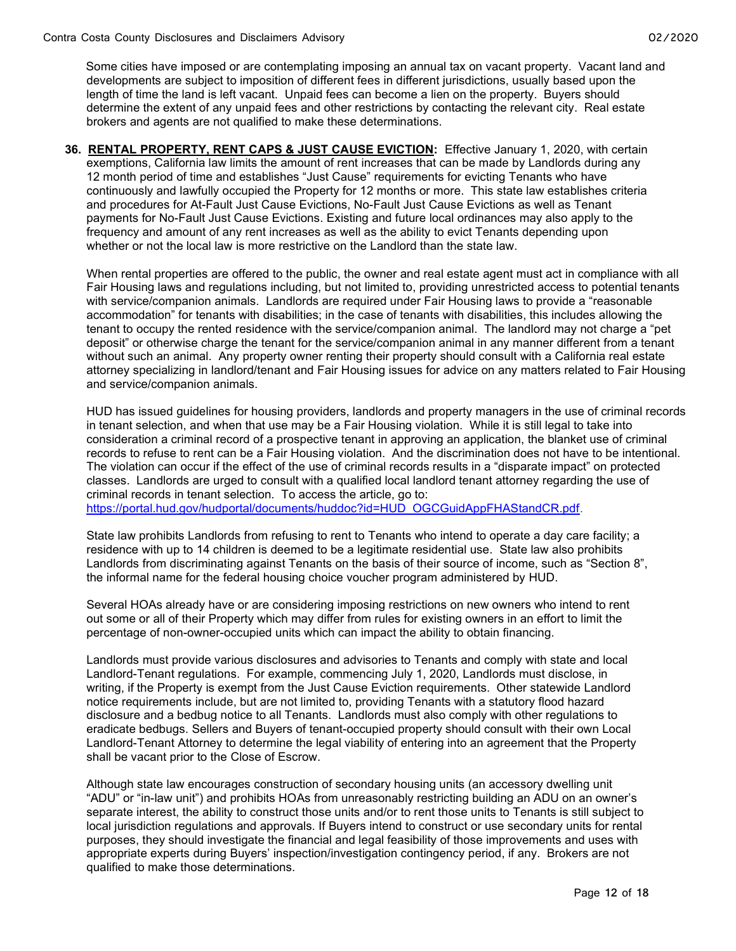Some cities have imposed or are contemplating imposing an annual tax on vacant property. Vacant land and developments are subject to imposition of different fees in different jurisdictions, usually based upon the length of time the land is left vacant. Unpaid fees can become a lien on the property. Buyers should determine the extent of any unpaid fees and other restrictions by contacting the relevant city. Real estate brokers and agents are not qualified to make these determinations.

36. RENTAL PROPERTY, RENT CAPS & JUST CAUSE EVICTION: Effective January 1, 2020, with certain exemptions, California law limits the amount of rent increases that can be made by Landlords during any 12 month period of time and establishes "Just Cause" requirements for evicting Tenants who have continuously and lawfully occupied the Property for 12 months or more. This state law establishes criteria and procedures for At-Fault Just Cause Evictions, No-Fault Just Cause Evictions as well as Tenant payments for No-Fault Just Cause Evictions. Existing and future local ordinances may also apply to the frequency and amount of any rent increases as well as the ability to evict Tenants depending upon whether or not the local law is more restrictive on the Landlord than the state law.

When rental properties are offered to the public, the owner and real estate agent must act in compliance with all Fair Housing laws and regulations including, but not limited to, providing unrestricted access to potential tenants with service/companion animals. Landlords are required under Fair Housing laws to provide a "reasonable accommodation" for tenants with disabilities; in the case of tenants with disabilities, this includes allowing the tenant to occupy the rented residence with the service/companion animal. The landlord may not charge a "pet deposit" or otherwise charge the tenant for the service/companion animal in any manner different from a tenant without such an animal. Any property owner renting their property should consult with a California real estate attorney specializing in landlord/tenant and Fair Housing issues for advice on any matters related to Fair Housing and service/companion animals.

HUD has issued guidelines for housing providers, landlords and property managers in the use of criminal records in tenant selection, and when that use may be a Fair Housing violation. While it is still legal to take into consideration a criminal record of a prospective tenant in approving an application, the blanket use of criminal records to refuse to rent can be a Fair Housing violation. And the discrimination does not have to be intentional. The violation can occur if the effect of the use of criminal records results in a "disparate impact" on protected classes. Landlords are urged to consult with a qualified local landlord tenant attorney regarding the use of criminal records in tenant selection. To access the article, go to:

https://portal.hud.gov/hudportal/documents/huddoc?id=HUD\_OGCGuidAppFHAStandCR.pdf.

State law prohibits Landlords from refusing to rent to Tenants who intend to operate a day care facility; a residence with up to 14 children is deemed to be a legitimate residential use. State law also prohibits Landlords from discriminating against Tenants on the basis of their source of income, such as "Section 8", the informal name for the federal housing choice voucher program administered by HUD.

Several HOAs already have or are considering imposing restrictions on new owners who intend to rent out some or all of their Property which may differ from rules for existing owners in an effort to limit the percentage of non-owner-occupied units which can impact the ability to obtain financing.

Landlords must provide various disclosures and advisories to Tenants and comply with state and local Landlord-Tenant regulations. For example, commencing July 1, 2020, Landlords must disclose, in writing, if the Property is exempt from the Just Cause Eviction requirements. Other statewide Landlord notice requirements include, but are not limited to, providing Tenants with a statutory flood hazard disclosure and a bedbug notice to all Tenants. Landlords must also comply with other regulations to eradicate bedbugs. Sellers and Buyers of tenant-occupied property should consult with their own Local Landlord-Tenant Attorney to determine the legal viability of entering into an agreement that the Property shall be vacant prior to the Close of Escrow.

Although state law encourages construction of secondary housing units (an accessory dwelling unit "ADU" or "in-law unit") and prohibits HOAs from unreasonably restricting building an ADU on an owner's separate interest, the ability to construct those units and/or to rent those units to Tenants is still subject to local jurisdiction regulations and approvals. If Buyers intend to construct or use secondary units for rental purposes, they should investigate the financial and legal feasibility of those improvements and uses with appropriate experts during Buyers' inspection/investigation contingency period, if any. Brokers are not qualified to make those determinations.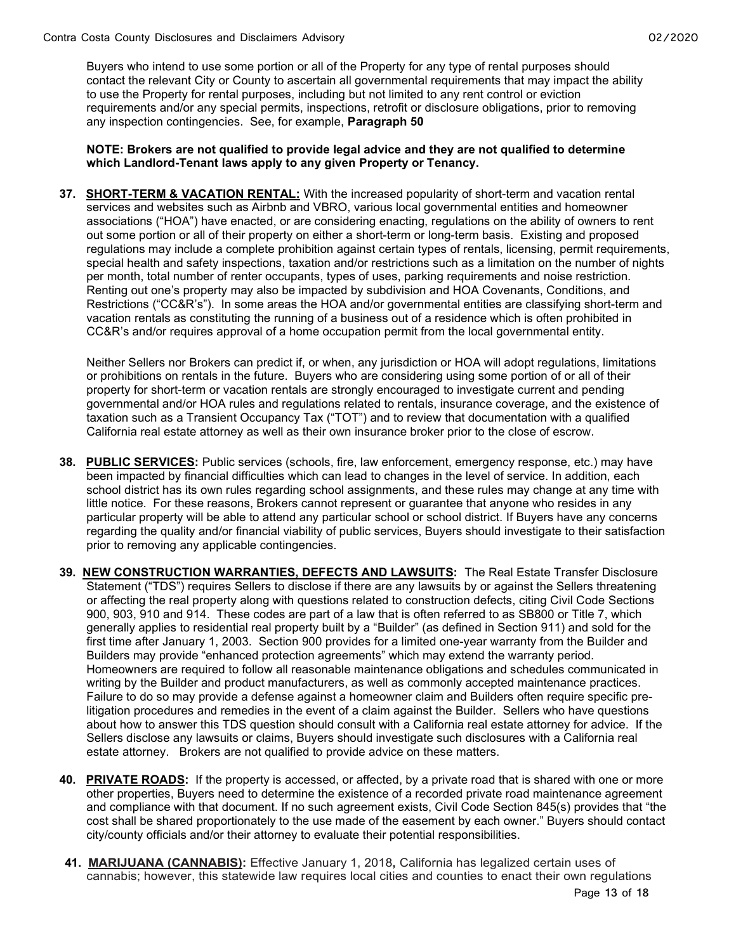Buyers who intend to use some portion or all of the Property for any type of rental purposes should contact the relevant City or County to ascertain all governmental requirements that may impact the ability to use the Property for rental purposes, including but not limited to any rent control or eviction requirements and/or any special permits, inspections, retrofit or disclosure obligations, prior to removing any inspection contingencies. See, for example, Paragraph 50

#### NOTE: Brokers are not qualified to provide legal advice and they are not qualified to determine which Landlord-Tenant laws apply to any given Property or Tenancy.

37. SHORT-TERM & VACATION RENTAL: With the increased popularity of short-term and vacation rental services and websites such as Airbnb and VBRO, various local governmental entities and homeowner associations ("HOA") have enacted, or are considering enacting, regulations on the ability of owners to rent out some portion or all of their property on either a short-term or long-term basis. Existing and proposed regulations may include a complete prohibition against certain types of rentals, licensing, permit requirements, special health and safety inspections, taxation and/or restrictions such as a limitation on the number of nights per month, total number of renter occupants, types of uses, parking requirements and noise restriction. Renting out one's property may also be impacted by subdivision and HOA Covenants, Conditions, and Restrictions ("CC&R's"). In some areas the HOA and/or governmental entities are classifying short-term and vacation rentals as constituting the running of a business out of a residence which is often prohibited in CC&R's and/or requires approval of a home occupation permit from the local governmental entity.

 Neither Sellers nor Brokers can predict if, or when, any jurisdiction or HOA will adopt regulations, limitations or prohibitions on rentals in the future. Buyers who are considering using some portion of or all of their property for short-term or vacation rentals are strongly encouraged to investigate current and pending governmental and/or HOA rules and regulations related to rentals, insurance coverage, and the existence of taxation such as a Transient Occupancy Tax ("TOT") and to review that documentation with a qualified California real estate attorney as well as their own insurance broker prior to the close of escrow.

- 38. PUBLIC SERVICES: Public services (schools, fire, law enforcement, emergency response, etc.) may have been impacted by financial difficulties which can lead to changes in the level of service. In addition, each school district has its own rules regarding school assignments, and these rules may change at any time with little notice. For these reasons, Brokers cannot represent or guarantee that anyone who resides in any particular property will be able to attend any particular school or school district. If Buyers have any concerns regarding the quality and/or financial viability of public services, Buyers should investigate to their satisfaction prior to removing any applicable contingencies.
- 39. NEW CONSTRUCTION WARRANTIES, DEFECTS AND LAWSUITS: The Real Estate Transfer Disclosure Statement ("TDS") requires Sellers to disclose if there are any lawsuits by or against the Sellers threatening or affecting the real property along with questions related to construction defects, citing Civil Code Sections 900, 903, 910 and 914. These codes are part of a law that is often referred to as SB800 or Title 7, which generally applies to residential real property built by a "Builder" (as defined in Section 911) and sold for the first time after January 1, 2003. Section 900 provides for a limited one-year warranty from the Builder and Builders may provide "enhanced protection agreements" which may extend the warranty period. Homeowners are required to follow all reasonable maintenance obligations and schedules communicated in writing by the Builder and product manufacturers, as well as commonly accepted maintenance practices. Failure to do so may provide a defense against a homeowner claim and Builders often require specific prelitigation procedures and remedies in the event of a claim against the Builder. Sellers who have questions about how to answer this TDS question should consult with a California real estate attorney for advice. If the Sellers disclose any lawsuits or claims, Buyers should investigate such disclosures with a California real estate attorney. Brokers are not qualified to provide advice on these matters.
- 40. PRIVATE ROADS: If the property is accessed, or affected, by a private road that is shared with one or more other properties, Buyers need to determine the existence of a recorded private road maintenance agreement and compliance with that document. If no such agreement exists, Civil Code Section 845(s) provides that "the cost shall be shared proportionately to the use made of the easement by each owner." Buyers should contact city/county officials and/or their attorney to evaluate their potential responsibilities.
- 41. MARIJUANA (CANNABIS): Effective January 1, 2018, California has legalized certain uses of cannabis; however, this statewide law requires local cities and counties to enact their own regulations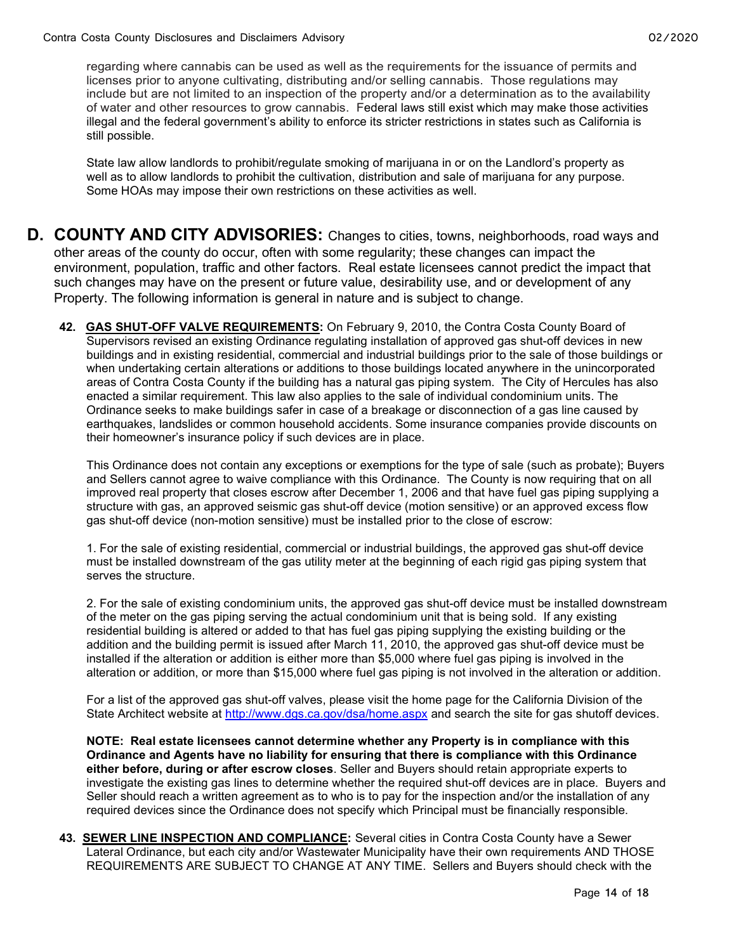regarding where cannabis can be used as well as the requirements for the issuance of permits and licenses prior to anyone cultivating, distributing and/or selling cannabis. Those regulations may include but are not limited to an inspection of the property and/or a determination as to the availability of water and other resources to grow cannabis. Federal laws still exist which may make those activities illegal and the federal government's ability to enforce its stricter restrictions in states such as California is still possible.

State law allow landlords to prohibit/regulate smoking of marijuana in or on the Landlord's property as well as to allow landlords to prohibit the cultivation, distribution and sale of marijuana for any purpose. Some HOAs may impose their own restrictions on these activities as well.

- D. COUNTY AND CITY ADVISORIES: Changes to cities, towns, neighborhoods, road ways and other areas of the county do occur, often with some regularity; these changes can impact the environment, population, traffic and other factors. Real estate licensees cannot predict the impact that such changes may have on the present or future value, desirability use, and or development of any Property. The following information is general in nature and is subject to change.
	- 42. GAS SHUT-OFF VALVE REQUIREMENTS: On February 9, 2010, the Contra Costa County Board of Supervisors revised an existing Ordinance regulating installation of approved gas shut-off devices in new buildings and in existing residential, commercial and industrial buildings prior to the sale of those buildings or when undertaking certain alterations or additions to those buildings located anywhere in the unincorporated areas of Contra Costa County if the building has a natural gas piping system. The City of Hercules has also enacted a similar requirement. This law also applies to the sale of individual condominium units. The Ordinance seeks to make buildings safer in case of a breakage or disconnection of a gas line caused by earthquakes, landslides or common household accidents. Some insurance companies provide discounts on their homeowner's insurance policy if such devices are in place.

This Ordinance does not contain any exceptions or exemptions for the type of sale (such as probate); Buyers and Sellers cannot agree to waive compliance with this Ordinance. The County is now requiring that on all improved real property that closes escrow after December 1, 2006 and that have fuel gas piping supplying a structure with gas, an approved seismic gas shut-off device (motion sensitive) or an approved excess flow gas shut-off device (non-motion sensitive) must be installed prior to the close of escrow:

1. For the sale of existing residential, commercial or industrial buildings, the approved gas shut-off device must be installed downstream of the gas utility meter at the beginning of each rigid gas piping system that serves the structure.

2. For the sale of existing condominium units, the approved gas shut-off device must be installed downstream of the meter on the gas piping serving the actual condominium unit that is being sold. If any existing residential building is altered or added to that has fuel gas piping supplying the existing building or the addition and the building permit is issued after March 11, 2010, the approved gas shut-off device must be installed if the alteration or addition is either more than \$5,000 where fuel gas piping is involved in the alteration or addition, or more than \$15,000 where fuel gas piping is not involved in the alteration or addition.

For a list of the approved gas shut-off valves, please visit the home page for the California Division of the State Architect website at http://www.dgs.ca.gov/dsa/home.aspx and search the site for gas shutoff devices.

NOTE: Real estate licensees cannot determine whether any Property is in compliance with this Ordinance and Agents have no liability for ensuring that there is compliance with this Ordinance either before, during or after escrow closes. Seller and Buyers should retain appropriate experts to investigate the existing gas lines to determine whether the required shut-off devices are in place. Buyers and Seller should reach a written agreement as to who is to pay for the inspection and/or the installation of any required devices since the Ordinance does not specify which Principal must be financially responsible.

43. SEWER LINE INSPECTION AND COMPLIANCE: Several cities in Contra Costa County have a Sewer Lateral Ordinance, but each city and/or Wastewater Municipality have their own requirements AND THOSE REQUIREMENTS ARE SUBJECT TO CHANGE AT ANY TIME. Sellers and Buyers should check with the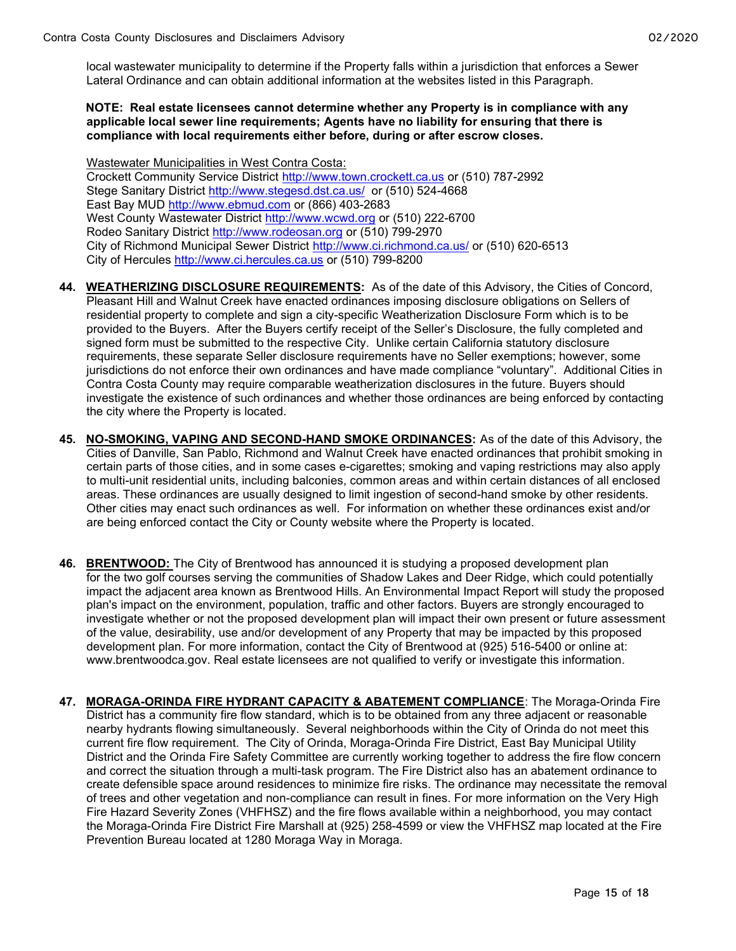local wastewater municipality to determine if the Property falls within a jurisdiction that enforces a Sewer Lateral Ordinance and can obtain additional information at the websites listed in this Paragraph.

#### NOTE: Real estate licensees cannot determine whether any Property is in compliance with any applicable local sewer line requirements; Agents have no liability for ensuring that there is compliance with local requirements either before, during or after escrow closes.

Wastewater Municipalities in West Contra Costa: Crockett Community Service District http://www.town.crockett.ca.us or (510) 787-2992 Stege Sanitary District http://www.stegesd.dst.ca.us/ or (510) 524-4668 East Bay MUD http://www.ebmud.com or (866) 403-2683 West County Wastewater District http://www.wcwd.org or (510) 222-6700 Rodeo Sanitary District http://www.rodeosan.org or (510) 799-2970 City of Richmond Municipal Sewer District http://www.ci.richmond.ca.us/ or (510) 620-6513 City of Hercules http://www.ci.hercules.ca.us or (510) 799-8200

- 44. WEATHERIZING DISCLOSURE REQUIREMENTS: As of the date of this Advisory, the Cities of Concord, Pleasant Hill and Walnut Creek have enacted ordinances imposing disclosure obligations on Sellers of residential property to complete and sign a city-specific Weatherization Disclosure Form which is to be provided to the Buyers. After the Buyers certify receipt of the Seller's Disclosure, the fully completed and signed form must be submitted to the respective City. Unlike certain California statutory disclosure requirements, these separate Seller disclosure requirements have no Seller exemptions; however, some jurisdictions do not enforce their own ordinances and have made compliance "voluntary". Additional Cities in Contra Costa County may require comparable weatherization disclosures in the future. Buyers should investigate the existence of such ordinances and whether those ordinances are being enforced by contacting the city where the Property is located.
- 45. NO-SMOKING, VAPING AND SECOND-HAND SMOKE ORDINANCES: As of the date of this Advisory, the Cities of Danville, San Pablo, Richmond and Walnut Creek have enacted ordinances that prohibit smoking in certain parts of those cities, and in some cases e-cigarettes; smoking and vaping restrictions may also apply to multi-unit residential units, including balconies, common areas and within certain distances of all enclosed areas. These ordinances are usually designed to limit ingestion of second-hand smoke by other residents. Other cities may enact such ordinances as well. For information on whether these ordinances exist and/or are being enforced contact the City or County website where the Property is located.
- 46. BRENTWOOD: The City of Brentwood has announced it is studying a proposed development plan for the two golf courses serving the communities of Shadow Lakes and Deer Ridge, which could potentially impact the adjacent area known as Brentwood Hills. An Environmental Impact Report will study the proposed plan's impact on the environment, population, traffic and other factors. Buyers are strongly encouraged to investigate whether or not the proposed development plan will impact their own present or future assessment of the value, desirability, use and/or development of any Property that may be impacted by this proposed development plan. For more information, contact the City of Brentwood at (925) 516-5400 or online at: www.brentwoodca.gov. Real estate licensees are not qualified to verify or investigate this information.
- 47. MORAGA-ORINDA FIRE HYDRANT CAPACITY & ABATEMENT COMPLIANCE: The Moraga-Orinda Fire District has a community fire flow standard, which is to be obtained from any three adjacent or reasonable nearby hydrants flowing simultaneously. Several neighborhoods within the City of Orinda do not meet this current fire flow requirement. The City of Orinda, Moraga-Orinda Fire District, East Bay Municipal Utility District and the Orinda Fire Safety Committee are currently working together to address the fire flow concern and correct the situation through a multi-task program. The Fire District also has an abatement ordinance to create defensible space around residences to minimize fire risks. The ordinance may necessitate the removal of trees and other vegetation and non-compliance can result in fines. For more information on the Very High Fire Hazard Severity Zones (VHFHSZ) and the fire flows available within a neighborhood, you may contact the Moraga-Orinda Fire District Fire Marshall at (925) 258-4599 or view the VHFHSZ map located at the Fire Prevention Bureau located at 1280 Moraga Way in Moraga.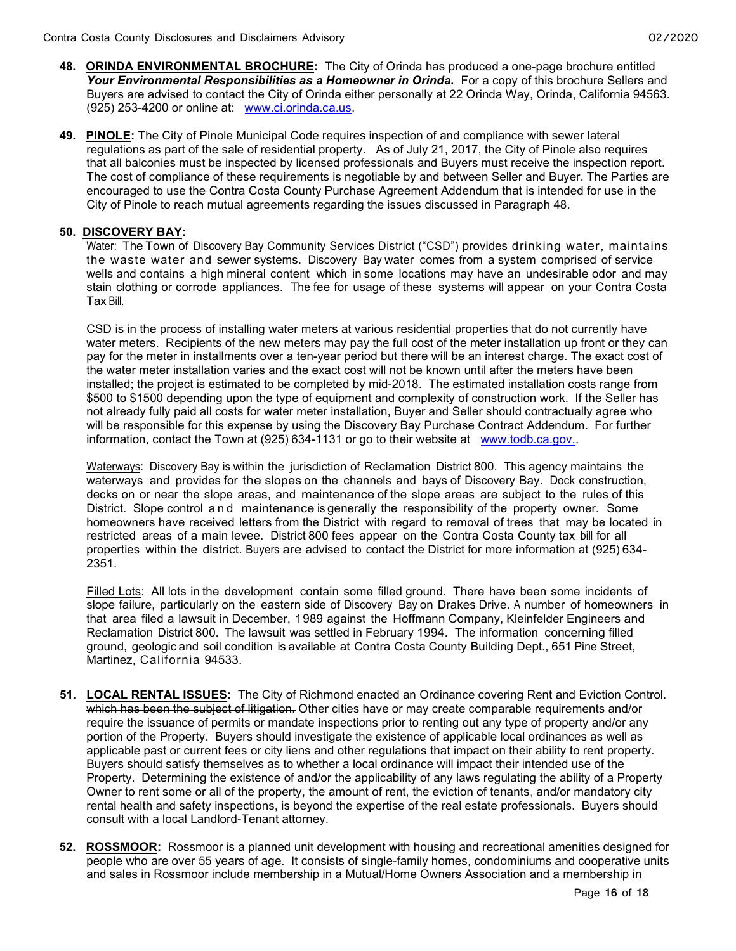- 48. ORINDA ENVIRONMENTAL BROCHURE: The City of Orinda has produced a one-page brochure entitled Your Environmental Responsibilities as a Homeowner in Orinda. For a copy of this brochure Sellers and Buyers are advised to contact the City of Orinda either personally at 22 Orinda Way, Orinda, California 94563. (925) 253-4200 or online at: www.ci.orinda.ca.us.
- 49. PINOLE: The City of Pinole Municipal Code requires inspection of and compliance with sewer lateral regulations as part of the sale of residential property. As of July 21, 2017, the City of Pinole also requires that all balconies must be inspected by licensed professionals and Buyers must receive the inspection report. The cost of compliance of these requirements is negotiable by and between Seller and Buyer. The Parties are encouraged to use the Contra Costa County Purchase Agreement Addendum that is intended for use in the City of Pinole to reach mutual agreements regarding the issues discussed in Paragraph 48.

#### 50. DISCOVERY BAY:

Water: The Town of Discovery Bay Community Services District ("CSD") provides drinking water, maintains the waste water and sewer systems. Discovery Bay water comes from a system comprised of service wells and contains a high mineral content which in some locations may have an undesirable odor and may stain clothing or corrode appliances. The fee for usage of these systems will appear on your Contra Costa Tax Bill.

CSD is in the process of installing water meters at various residential properties that do not currently have water meters. Recipients of the new meters may pay the full cost of the meter installation up front or they can pay for the meter in installments over a ten-year period but there will be an interest charge. The exact cost of the water meter installation varies and the exact cost will not be known until after the meters have been installed; the project is estimated to be completed by mid-2018. The estimated installation costs range from \$500 to \$1500 depending upon the type of equipment and complexity of construction work. If the Seller has not already fully paid all costs for water meter installation, Buyer and Seller should contractually agree who will be responsible for this expense by using the Discovery Bay Purchase Contract Addendum. For further information, contact the Town at (925) 634-1131 or go to their website at www.todb.ca.gov..

Waterways: Discovery Bay is within the jurisdiction of Reclamation District 800. This agency maintains the waterways and provides for the slopes on the channels and bays of Discovery Bay. Dock construction, decks on or near the slope areas, and maintenance of the slope areas are subject to the rules of this District. Slope control a n d maintenance is generally the responsibility of the property owner. Some homeowners have received letters from the District with regard to removal of trees that may be located in restricted areas of a main levee. District 800 fees appear on the Contra Costa County tax bill for all properties within the district. Buyers are advised to contact the District for more information at (925) 634- 2351.

Filled Lots: All lots in the development contain some filled ground. There have been some incidents of slope failure, particularly on the eastern side of Discovery Bay on Drakes Drive. A number of homeowners in that area filed a lawsuit in December, 1989 against the Hoffmann Company, Kleinfelder Engineers and Reclamation District 800. The lawsuit was settled in February 1994. The information concerning filled ground, geologic and soil condition is available at Contra Costa County Building Dept., 651 Pine Street, Martinez, California 94533.

- 51. LOCAL RENTAL ISSUES: The City of Richmond enacted an Ordinance covering Rent and Eviction Control. which has been the subject of litigation. Other cities have or may create comparable requirements and/or require the issuance of permits or mandate inspections prior to renting out any type of property and/or any portion of the Property. Buyers should investigate the existence of applicable local ordinances as well as applicable past or current fees or city liens and other regulations that impact on their ability to rent property. Buyers should satisfy themselves as to whether a local ordinance will impact their intended use of the Property. Determining the existence of and/or the applicability of any laws regulating the ability of a Property Owner to rent some or all of the property, the amount of rent, the eviction of tenants, and/or mandatory city rental health and safety inspections, is beyond the expertise of the real estate professionals. Buyers should consult with a local Landlord-Tenant attorney.
- 52. ROSSMOOR: Rossmoor is a planned unit development with housing and recreational amenities designed for people who are over 55 years of age. It consists of single-family homes, condominiums and cooperative units and sales in Rossmoor include membership in a Mutual/Home Owners Association and a membership in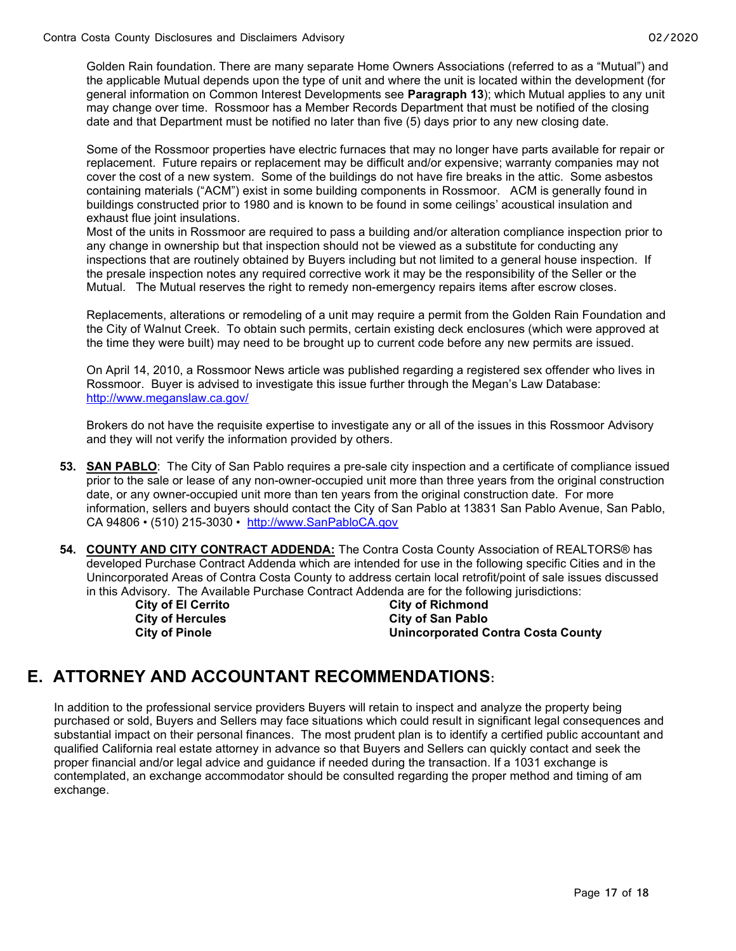Golden Rain foundation. There are many separate Home Owners Associations (referred to as a "Mutual") and the applicable Mutual depends upon the type of unit and where the unit is located within the development (for general information on Common Interest Developments see Paragraph 13); which Mutual applies to any unit may change over time. Rossmoor has a Member Records Department that must be notified of the closing date and that Department must be notified no later than five (5) days prior to any new closing date.

Some of the Rossmoor properties have electric furnaces that may no longer have parts available for repair or replacement. Future repairs or replacement may be difficult and/or expensive; warranty companies may not cover the cost of a new system. Some of the buildings do not have fire breaks in the attic. Some asbestos containing materials ("ACM") exist in some building components in Rossmoor. ACM is generally found in buildings constructed prior to 1980 and is known to be found in some ceilings' acoustical insulation and exhaust flue joint insulations.

Most of the units in Rossmoor are required to pass a building and/or alteration compliance inspection prior to any change in ownership but that inspection should not be viewed as a substitute for conducting any inspections that are routinely obtained by Buyers including but not limited to a general house inspection. If the presale inspection notes any required corrective work it may be the responsibility of the Seller or the Mutual. The Mutual reserves the right to remedy non-emergency repairs items after escrow closes.

Replacements, alterations or remodeling of a unit may require a permit from the Golden Rain Foundation and the City of Walnut Creek. To obtain such permits, certain existing deck enclosures (which were approved at the time they were built) may need to be brought up to current code before any new permits are issued.

On April 14, 2010, a Rossmoor News article was published regarding a registered sex offender who lives in Rossmoor. Buyer is advised to investigate this issue further through the Megan's Law Database: http://www.meganslaw.ca.gov/

Brokers do not have the requisite expertise to investigate any or all of the issues in this Rossmoor Advisory and they will not verify the information provided by others.

- 53. SAN PABLO: The City of San Pablo requires a pre-sale city inspection and a certificate of compliance issued prior to the sale or lease of any non-owner-occupied unit more than three years from the original construction date, or any owner-occupied unit more than ten years from the original construction date. For more information, sellers and buyers should contact the City of San Pablo at 13831 San Pablo Avenue, San Pablo, CA 94806 • (510) 215-3030 • http://www.SanPabloCA.gov
- 54. COUNTY AND CITY CONTRACT ADDENDA: The Contra Costa County Association of REALTORS® has developed Purchase Contract Addenda which are intended for use in the following specific Cities and in the Unincorporated Areas of Contra Costa County to address certain local retrofit/point of sale issues discussed in this Advisory. The Available Purchase Contract Addenda are for the following jurisdictions:

City of El Cerrito City of Richmond City of Hercules City of San Pablo City of Pinole Unincorporated Contra Costa County

### E. ATTORNEY AND ACCOUNTANT RECOMMENDATIONS:

In addition to the professional service providers Buyers will retain to inspect and analyze the property being purchased or sold, Buyers and Sellers may face situations which could result in significant legal consequences and substantial impact on their personal finances. The most prudent plan is to identify a certified public accountant and qualified California real estate attorney in advance so that Buyers and Sellers can quickly contact and seek the proper financial and/or legal advice and guidance if needed during the transaction. If a 1031 exchange is contemplated, an exchange accommodator should be consulted regarding the proper method and timing of am exchange.